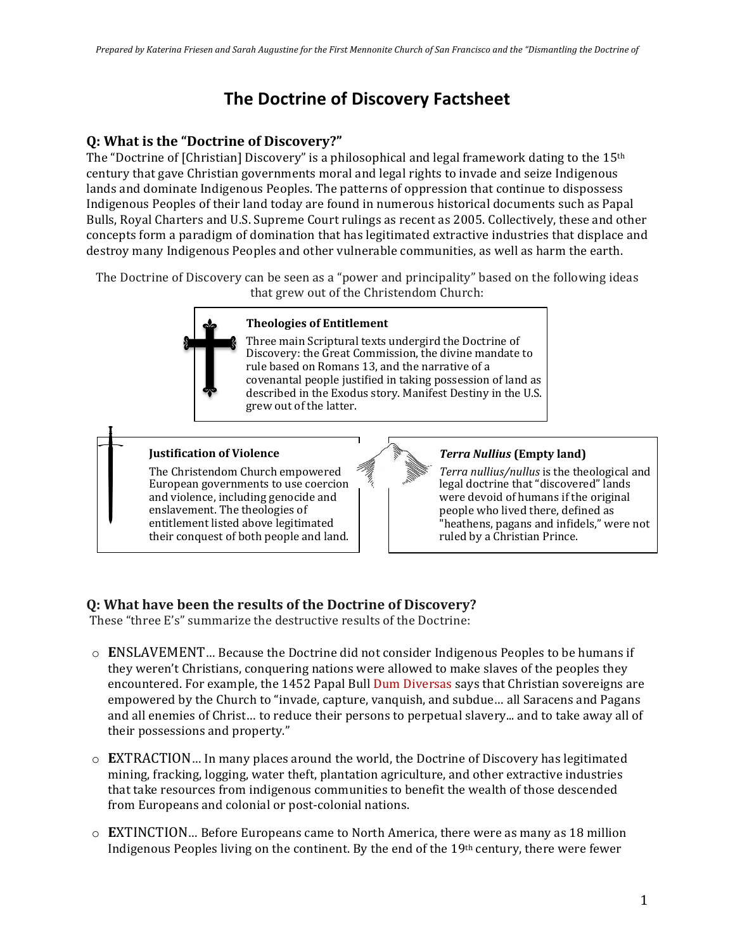# **The Doctrine of Discovery Factsheet**

## **Q: What is the "Doctrine of Discovery?"**

The "Doctrine of [Christian] Discovery" is a philosophical and legal framework dating to the  $15<sup>th</sup>$ century that gave Christian governments moral and legal rights to invade and seize Indigenous lands and dominate Indigenous Peoples. The patterns of oppression that continue to dispossess Indigenous Peoples of their land today are found in numerous historical documents such as Papal Bulls, Royal Charters and U.S. Supreme Court rulings as recent as 2005. Collectively, these and other concepts form a paradigm of domination that has legitimated extractive industries that displace and destroy many Indigenous Peoples and other vulnerable communities, as well as harm the earth.

The Doctrine of Discovery can be seen as a "power and principality" based on the following ideas that grew out of the Christendom Church:



#### **Theologies of Entitlement**

Three main Scriptural texts undergird the Doctrine of Discovery: the Great Commission, the divine mandate to rule based on Romans 13, and the narrative of a covenantal people justified in taking possession of land as described in the Exodus story. Manifest Destiny in the U.S. grew out of the latter.

#### **Iustification of Violence**

The Christendom Church empowered European governments to use coercion and violence, including genocide and enslavement. The theologies of entitlement listed above legitimated their conquest of both people and land.

### *Terra Nullius* (Empty land)

Terra nullius/nullus is the theological and legal doctrine that "discovered" lands were devoid of humans if the original people who lived there, defined as "heathens, pagans and infidels," were not ruled by a Christian Prince.

# **Q: What have been the results of the Doctrine of Discovery?**

These "three E's" summarize the destructive results of the Doctrine:

- $\circ$  **ENSLAVEMENT**... Because the Doctrine did not consider Indigenous Peoples to be humans if they weren't Christians, conquering nations were allowed to make slaves of the peoples they encountered. For example, the 1452 Papal Bull Dum Diversas says that Christian sovereigns are empowered by the Church to "invade, capture, vanguish, and subdue... all Saracens and Pagans and all enemies of Christ... to reduce their persons to perpetual slavery... and to take away all of their possessions and property."
- $\circ$  **EXTRACTION**... In many places around the world, the Doctrine of Discovery has legitimated mining, fracking, logging, water theft, plantation agriculture, and other extractive industries that take resources from indigenous communities to benefit the wealth of those descended from Europeans and colonial or post-colonial nations.
- $\circ$  **EXTINCTION**... Before Europeans came to North America, there were as many as 18 million Indigenous Peoples living on the continent. By the end of the  $19<sup>th</sup>$  century, there were fewer